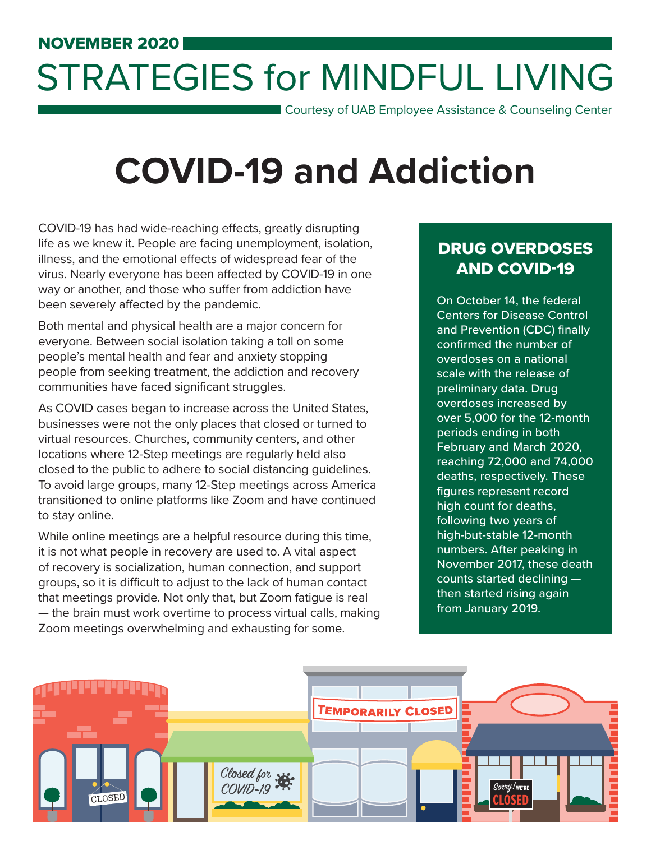# STRATEGIES for MINDFUL LIVING

Courtesy of UAB Employee Assistance & Counseling Center

## **COVID-19 and Addiction**

COVID-19 has had wide-reaching effects, greatly disrupting life as we knew it. People are facing unemployment, isolation, illness, and the emotional effects of widespread fear of the virus. Nearly everyone has been affected by COVID-19 in one way or another, and those who suffer from addiction have been severely affected by the pandemic.

Both mental and physical health are a major concern for everyone. Between social isolation taking a toll on some people's mental health and fear and anxiety stopping people from seeking treatment, the addiction and recovery communities have faced significant struggles.

As COVID cases began to increase across the United States, businesses were not the only places that closed or turned to virtual resources. Churches, community centers, and other locations where 12-Step meetings are regularly held also closed to the public to adhere to social distancing guidelines. To avoid large groups, many 12-Step meetings across America transitioned to online platforms like Zoom and have continued to stay online.

While online meetings are a helpful resource during this time, it is not what people in recovery are used to. A vital aspect of recovery is socialization, human connection, and support groups, so it is difficult to adjust to the lack of human contact that meetings provide. Not only that, but Zoom fatigue is real — the brain must work overtime to process virtual calls, making Zoom meetings overwhelming and exhausting for some.

### DRUG OVERDOSES AND COVID-19

On October 14, the federal Centers for Disease Control and Prevention (CDC) finally confirmed the number of overdoses on a national scale with the release of preliminary data. Drug overdoses increased by over 5,000 for the 12-month periods ending in both February and March 2020, reaching 72,000 and 74,000 deaths, respectively. These figures represent record high count for deaths, following two years of high-but-stable 12-month numbers. After peaking in November 2017, these death counts started declining then started rising again from January 2019.